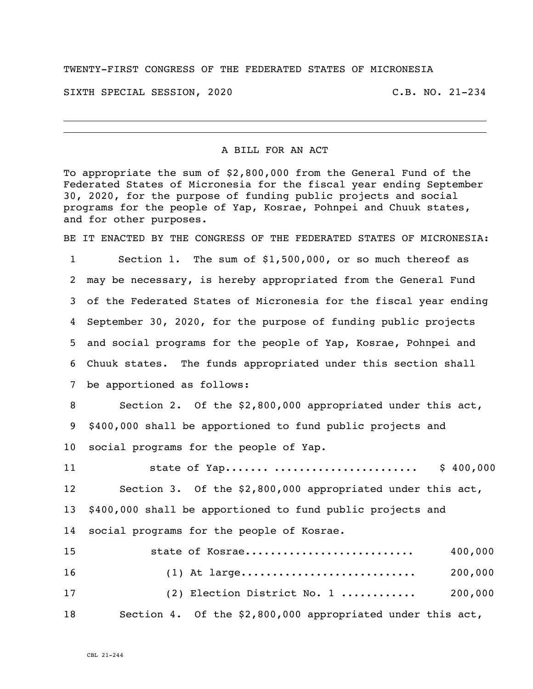## TWENTY-FIRST CONGRESS OF THE FEDERATED STATES OF MICRONESIA

SIXTH SPECIAL SESSION, 2020 C.B. NO. 21-234

A BILL FOR AN ACT

To appropriate the sum of \$2,800,000 from the General Fund of the Federated States of Micronesia for the fiscal year ending September 30, 2020, for the purpose of funding public projects and social programs for the people of Yap, Kosrae, Pohnpei and Chuuk states, and for other purposes.

BE IT ENACTED BY THE CONGRESS OF THE FEDERATED STATES OF MICRONESIA:

 Section 1. The sum of \$1,500,000, or so much thereof as may be necessary, is hereby appropriated from the General Fund of the Federated States of Micronesia for the fiscal year ending September 30, 2020, for the purpose of funding public projects and social programs for the people of Yap, Kosrae, Pohnpei and Chuuk states. The funds appropriated under this section shall be apportioned as follows:

 Section 2. Of the \$2,800,000 appropriated under this act, \$400,000 shall be apportioned to fund public projects and social programs for the people of Yap.

 state of Yap....... ....................... \$ 400,000 Section 3. Of the \$2,800,000 appropriated under this act, \$400,000 shall be apportioned to fund public projects and social programs for the people of Kosrae.

| 15 | state of Kosrae                                            | 400,000 |
|----|------------------------------------------------------------|---------|
| 16 |                                                            | 200,000 |
| 17 | (2) Election District No. 1                                | 200,000 |
| 18 | Section 4. Of the \$2,800,000 appropriated under this act, |         |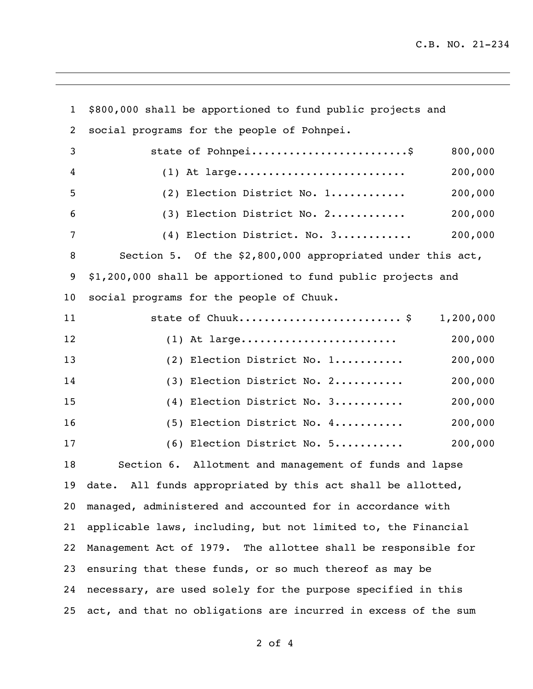| $\mathbf{1}$    | \$800,000 shall be apportioned to fund public projects and     |           |
|-----------------|----------------------------------------------------------------|-----------|
| 2               | social programs for the people of Pohnpei.                     |           |
| 3               | state of Pohnpei\$                                             | 800,000   |
| 4               | $(1)$ At large                                                 | 200,000   |
| 5               | (2) Election District No. 1                                    | 200,000   |
| 6               | (3) Election District No. 2                                    | 200,000   |
| $7\phantom{.0}$ | (4) Election District. No. 3                                   | 200,000   |
| 8               | Section 5. Of the \$2,800,000 appropriated under this act,     |           |
| 9               | \$1,200,000 shall be apportioned to fund public projects and   |           |
| 10              | social programs for the people of Chuuk.                       |           |
| 11              | state of Chuuk \$                                              | 1,200,000 |
| 12              | $(1)$ At large                                                 | 200,000   |
| 13              | (2) Election District No. 1                                    | 200,000   |
| 14              | (3) Election District No. 2                                    | 200,000   |
| 15              | (4) Election District No. 3                                    | 200,000   |
| 16              | (5) Election District No. 4                                    | 200,000   |
| 17              | (6) Election District No. 5                                    | 200,000   |
| 18              | Section 6. Allotment and management of funds and lapse         |           |
| 19              | All funds appropriated by this act shall be allotted,<br>date. |           |
| 20              | managed, administered and accounted for in accordance with     |           |
| 21              | applicable laws, including, but not limited to, the Financial  |           |
| 22              | Management Act of 1979. The allottee shall be responsible for  |           |
| 23              | ensuring that these funds, or so much thereof as may be        |           |
| 24              | necessary, are used solely for the purpose specified in this   |           |
| 25              | act, and that no obligations are incurred in excess of the sum |           |

of 4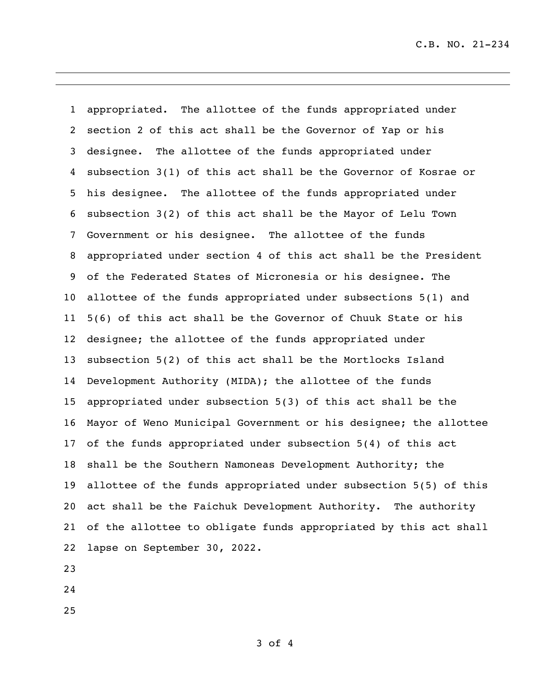C.B. NO. 21-234

 appropriated. The allottee of the funds appropriated under section 2 of this act shall be the Governor of Yap or his designee. The allottee of the funds appropriated under subsection 3(1) of this act shall be the Governor of Kosrae or his designee. The allottee of the funds appropriated under subsection 3(2) of this act shall be the Mayor of Lelu Town Government or his designee. The allottee of the funds appropriated under section 4 of this act shall be the President of the Federated States of Micronesia or his designee. The allottee of the funds appropriated under subsections 5(1) and 5(6) of this act shall be the Governor of Chuuk State or his designee; the allottee of the funds appropriated under subsection 5(2) of this act shall be the Mortlocks Island Development Authority (MIDA); the allottee of the funds appropriated under subsection 5(3) of this act shall be the Mayor of Weno Municipal Government or his designee; the allottee of the funds appropriated under subsection 5(4) of this act shall be the Southern Namoneas Development Authority; the allottee of the funds appropriated under subsection 5(5) of this act shall be the Faichuk Development Authority. The authority of the allottee to obligate funds appropriated by this act shall lapse on September 30, 2022. 

- 
- 
-